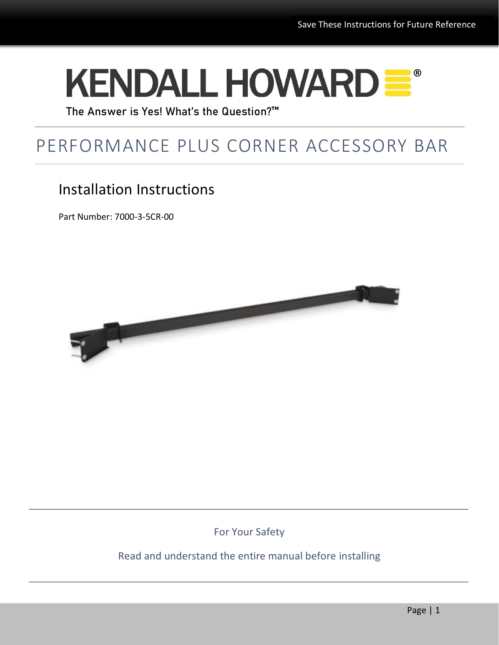# **KENDALL HOWARD =**

The Answer is Yes! What's the Question?™

## PERFORMANCE PLUS CORNER ACCESSORY BAR

## Installation Instructions

Part Number: 7000-3-5CR-00



For Your Safety

#### Read and understand the entire manual before installing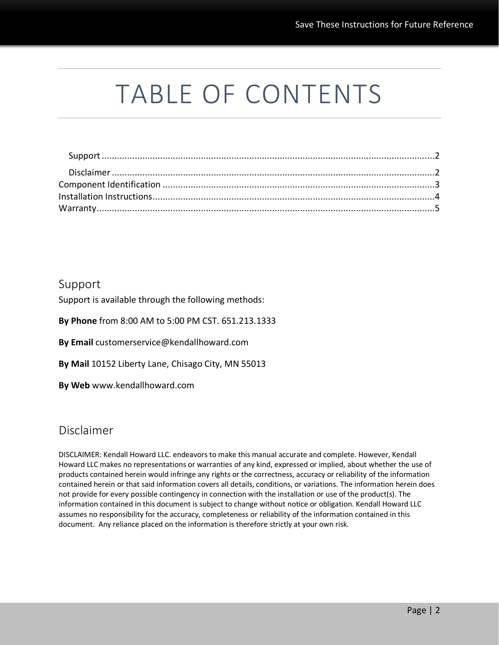## TABLE OF CONTENTS

#### <span id="page-1-0"></span>Support

Support is available through the following methods:

**By Phone** from 8:00 AM to 5:00 PM CST. 651.213.1333

**By Email** customerservice@kendallhoward.com

**By Mail** 10152 Liberty Lane, Chisago City, MN 55013

**By Web** www.kendallhoward.com

#### <span id="page-1-1"></span>Disclaimer

DISCLAIMER: Kendall Howard LLC. endeavors to make this manual accurate and complete. However, Kendall Howard LLC makes no representations or warranties of any kind, expressed or implied, about whether the use of products contained herein would infringe any rights or the correctness, accuracy or reliability of the information contained herein or that said information covers all details, conditions, or variations. The information herein does not provide for every possible contingency in connection with the installation or use of the product(s). The information contained in this document is subject to change without notice or obligation. Kendall Howard LLC assumes no responsibility for the accuracy, completeness or reliability of the information contained in this document. Any reliance placed on the information is therefore strictly at your own risk.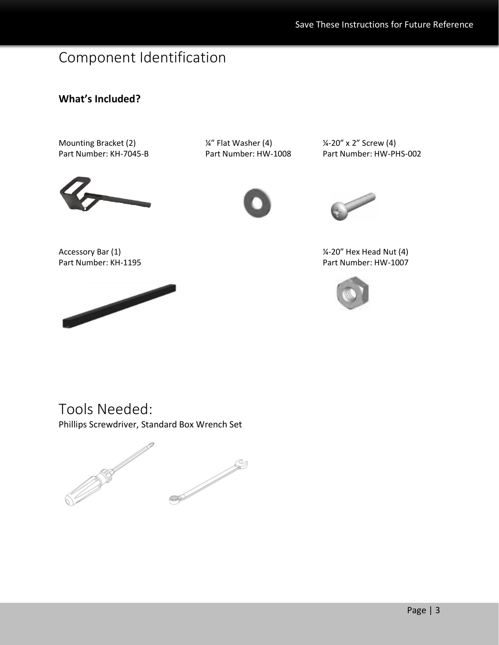## <span id="page-2-0"></span>Component Identification

### **What's Included?**

Mounting Bracket (2)  $\frac{1}{4}$  Flat Washer (4)  $\frac{1}{4}$  /4-20" x 2" Screw (4)



Part Number: KH-7045-B Part Number: HW-1008 Part Number: HW-PHS-002



Accessory Bar (1)  $\frac{1}{4}$  Accessory Bar (1) Part Number: KH-1195 Part Number: HW-1007

<span id="page-2-1"></span>



Tools Needed:

Phillips Screwdriver, Standard Box Wrench Set

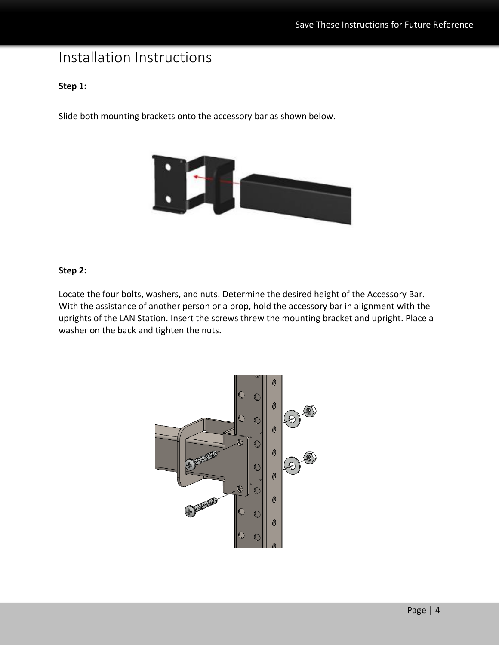## Installation Instructions

#### **Step 1:**

Slide both mounting brackets onto the accessory bar as shown below.



#### **Step 2:**

Locate the four bolts, washers, and nuts. Determine the desired height of the Accessory Bar. With the assistance of another person or a prop, hold the accessory bar in alignment with the uprights of the LAN Station. Insert the screws threw the mounting bracket and upright. Place a washer on the back and tighten the nuts.